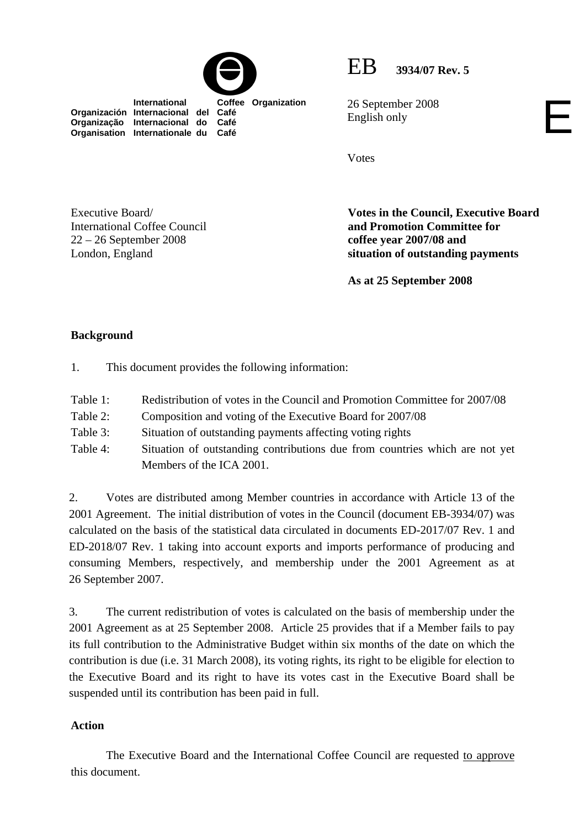

 **International Coffee Organization** 

EB **3934/07 Rev. 5**

26 September 2008 English only

Votes

Executive Board/ International Coffee Council 22 – 26 September 2008 London, England

**Organización Internacional del Café Organização Internacional do Café Organisation Internationale du Café**

> **Votes in the Council, Executive Board and Promotion Committee for coffee year 2007/08 and situation of outstanding payments**

E

**As at 25 September 2008** 

# **Background**

- 1. This document provides the following information:
- Table 1: Redistribution of votes in the Council and Promotion Committee for 2007/08
- Table 2: Composition and voting of the Executive Board for 2007/08
- Table 3: Situation of outstanding payments affecting voting rights
- Table 4: Situation of outstanding contributions due from countries which are not yet Members of the ICA 2001.

2. Votes are distributed among Member countries in accordance with Article 13 of the 2001 Agreement. The initial distribution of votes in the Council (document EB-3934/07) was calculated on the basis of the statistical data circulated in documents ED-2017/07 Rev. 1 and ED-2018/07 Rev. 1 taking into account exports and imports performance of producing and consuming Members, respectively, and membership under the 2001 Agreement as at 26 September 2007.

3. The current redistribution of votes is calculated on the basis of membership under the 2001 Agreement as at 25 September 2008. Article 25 provides that if a Member fails to pay its full contribution to the Administrative Budget within six months of the date on which the contribution is due (i.e. 31 March 2008), its voting rights, its right to be eligible for election to the Executive Board and its right to have its votes cast in the Executive Board shall be suspended until its contribution has been paid in full.

## **Action**

The Executive Board and the International Coffee Council are requested to approve this document.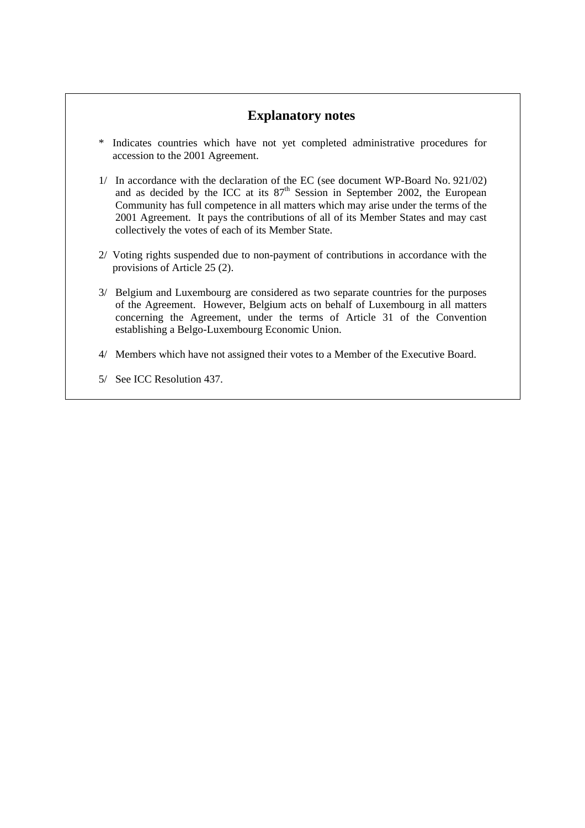# **Explanatory notes**

- \* Indicates countries which have not yet completed administrative procedures for accession to the 2001 Agreement.
- 1/ In accordance with the declaration of the EC (see document WP-Board No. 921/02) and as decided by the ICC at its  $87<sup>th</sup>$  Session in September 2002, the European Community has full competence in all matters which may arise under the terms of the 2001 Agreement. It pays the contributions of all of its Member States and may cast collectively the votes of each of its Member State.
- 2/ Voting rights suspended due to non-payment of contributions in accordance with the provisions of Article 25 (2).
- 3/ Belgium and Luxembourg are considered as two separate countries for the purposes of the Agreement. However, Belgium acts on behalf of Luxembourg in all matters concerning the Agreement, under the terms of Article 31 of the Convention establishing a Belgo-Luxembourg Economic Union.
- 4/ Members which have not assigned their votes to a Member of the Executive Board.
- 5/ See ICC Resolution 437.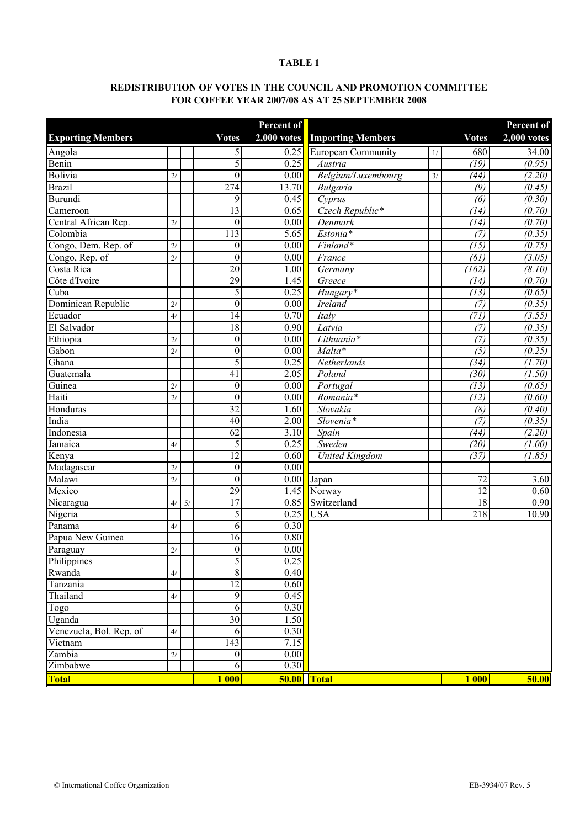### **TABLE 1**

### **REDISTRIBUTION OF VOTES IN THE COUNCIL AND PROMOTION COMMITTEE FOR COFFEE YEAR 2007/08 AS AT 25 SEPTEMBER 2008**

|                          |               |    |                  | Percent of        |                           |    |                   | Percent of          |
|--------------------------|---------------|----|------------------|-------------------|---------------------------|----|-------------------|---------------------|
| <b>Exporting Members</b> |               |    | <b>Votes</b>     | $2,000$ votes     | <b>Importing Members</b>  |    | <b>Votes</b>      | $2,000$ votes       |
| Angola                   |               |    | 5                | 0.25              | <b>European Community</b> | 1/ | 680               | 34.00               |
| Benin                    |               |    | 5                | 0.25              | Austria                   |    | $\overline{(19)}$ | (0.95)              |
| Bolivia                  | 2/            |    | $\overline{0}$   | $\overline{0.00}$ | Belgium/Luxembourg        | 3/ | (44)              | (2.20)              |
| <b>Brazil</b>            |               |    | $\overline{274}$ | 13.70             | Bulgaria                  |    | (9)               | (0.45)              |
| Burundi                  |               |    | 9                | 0.45              | Cyprus                    |    | (6)               | (0.30)              |
| Cameroon                 |               |    | 13               | 0.65              | Czech Republic*           |    | (14)              | (0.70)              |
| Central African Rep.     | 2/            |    | $\boldsymbol{0}$ | $\overline{0.00}$ | Denmark                   |    | (14)              | (0.70)              |
| Colombia                 |               |    | 113              | 5.65              | Estonia*                  |    | (7)               | (0.35)              |
| Congo, Dem. Rep. of      | 2/            |    | $\boldsymbol{0}$ | $\overline{0.00}$ | Finland*                  |    | $\overline{(15)}$ | (0.75)              |
| Congo, Rep. of           | 2/            |    | $\overline{0}$   | $\overline{0.00}$ | France                    |    | $\overline{(61)}$ | (3.05)              |
| Costa Rica               |               |    | 20               | 1.00              | Germany                   |    | (162)             | $\overline{(8.10)}$ |
| Côte d'Ivoire            |               |    | 29               | 1.45              | Greece                    |    | (14)              | (0.70)              |
| Cuba                     |               |    | 5                | 0.25              | $Hungary*$                |    | $\overline{(13)}$ | (0.65)              |
| Dominican Republic       | 2/            |    | $\overline{0}$   | 0.00              | <b>Ireland</b>            |    | (7)               | (0.35)              |
| Ecuador                  | $\frac{4}{3}$ |    | 14               | 0.70              | Italy                     |    | (71)              | (3.55)              |
| El Salvador              |               |    | 18               | $\overline{0.90}$ | Latvia                    |    | $\overline{(7)}$  | (0.35)              |
| Ethiopia                 | 2/            |    | $\boldsymbol{0}$ | 0.00              | Lithuania*                |    | (7)               | (0.35)              |
| Gabon                    | 2/            |    | $\overline{0}$   | 0.00              | Malta*                    |    | $\overline{(5)}$  | (0.25)              |
| Ghana                    |               |    | 5                | 0.25              | Netherlands               |    | (34)              | (1.70)              |
| Guatemala                |               |    | $\overline{41}$  | 2.05              | Poland                    |    | (30)              | (1.50)              |
| Guinea                   | 2/            |    | $\overline{0}$   | $\overline{0.00}$ | Portugal                  |    | $\overline{(13)}$ | (0.65)              |
| Haiti                    | 2/            |    | $\overline{0}$   | $\overline{0.00}$ | $Romania*$                |    | $\overline{(12)}$ | (0.60)              |
| Honduras                 |               |    | 32               | 1.60              | Slovakia                  |    | $\overline{(8)}$  | (0.40)              |
| India                    |               |    | 40               | $\overline{2.00}$ | Slovenia*                 |    | $\overline{(7)}$  | (0.35)              |
| Indonesia                |               |    | 62               | 3.10              | Spain                     |    | $\sqrt{(44)}$     | (2.20)              |
| Jamaica                  | 4/            |    | 5                | 0.25              | Sweden                    |    | $\overline{(20)}$ | (1.00)              |
| Kenya                    |               |    | $\overline{12}$  | 0.60              | <b>United Kingdom</b>     |    | (37)              | (1.85)              |
| Madagascar               | 2/            |    | $\overline{0}$   | 0.00              |                           |    |                   |                     |
| Malawi                   | 2/            |    | $\overline{0}$   | $\overline{0.00}$ | Japan                     |    | 72                | 3.60                |
| Mexico                   |               |    | $\overline{29}$  | 1.45              | Norway                    |    | $\overline{12}$   | 0.60                |
| Nicaragua                | 4/            | 5/ | 17               | 0.85              | Switzerland               |    | $\overline{18}$   | 0.90                |
| Nigeria                  |               |    | 5                | 0.25              | <b>USA</b>                |    | 218               | 10.90               |
| Panama                   | 4/            |    | 6                | 0.30              |                           |    |                   |                     |
| Papua New Guinea         |               |    | $\overline{16}$  | 0.80              |                           |    |                   |                     |
| Paraguay                 | 2/            |    | $\boldsymbol{0}$ | 0.00              |                           |    |                   |                     |
| Philippines              |               |    | 5                | 0.25              |                           |    |                   |                     |
| Rwanda                   | 4/            |    | $\overline{8}$   | 0.40              |                           |    |                   |                     |
| Tanzania                 |               |    | $\overline{12}$  | $\overline{0.60}$ |                           |    |                   |                     |
| Thailand                 | 4/            |    | $\overline{9}$   | 0.45              |                           |    |                   |                     |
| Togo                     |               |    | 6                | 0.30              |                           |    |                   |                     |
| Uganda                   |               |    | 30               | 1.50              |                           |    |                   |                     |
| Venezuela, Bol. Rep. of  | 4/            |    | 6                | 0.30              |                           |    |                   |                     |
| Vietnam                  |               |    | 143              | 7.15              |                           |    |                   |                     |
| Zambia                   | 2/            |    | $\boldsymbol{0}$ | $\overline{0.00}$ |                           |    |                   |                     |
| Zimbabwe                 |               |    | 6                | 0.30              |                           |    |                   |                     |
| <b>Total</b>             |               |    | <b>1 000</b>     |                   | 50.00 Total               |    | <b>1 000</b>      | 50.00               |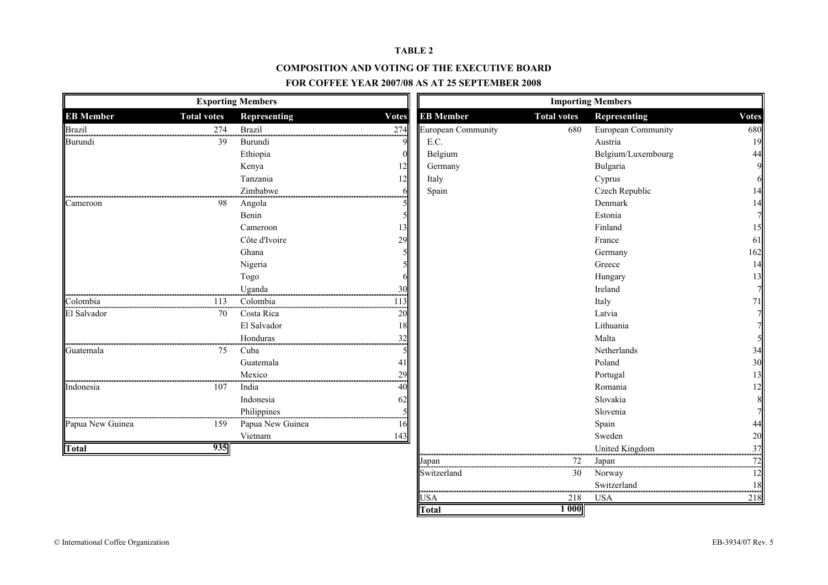#### **TABLE 2**

#### **COMPOSITION AND VOTING OF THE EXECUTIVE BOARD**

#### **FOR COFFEE YEAR 2007/08 AS AT 25 SEPTEMBER 2008**

|                  |                    | <b>Exporting Members</b> |              |                           |                    | <b>Importing Members</b> |                 |
|------------------|--------------------|--------------------------|--------------|---------------------------|--------------------|--------------------------|-----------------|
| <b>EB</b> Member | <b>Total votes</b> | Representing             | <b>Votes</b> | <b>EB</b> Member          | <b>Total votes</b> | Representing             | <b>Votes</b>    |
| <b>Brazil</b>    | 274<br>            | <b>Brazil</b>            | 274          | <b>European Community</b> | 680                | European Community       | 680             |
| Burundi          | 39                 | Burundi                  |              | E.C.                      |                    | Austria                  | 19              |
|                  |                    | Ethiopia                 |              | Belgium                   |                    | Belgium/Luxembourg       | 44              |
|                  |                    | Kenya                    |              | Germany                   |                    | Bulgaria                 | 9               |
|                  |                    | Tanzania                 |              | Italy                     |                    | Cyprus                   | 6               |
|                  |                    | Zimbabwe                 |              | Spain                     |                    | Czech Republic           | 14              |
| Cameroon         | 98                 | Angola                   |              |                           |                    | Denmark                  | 14              |
|                  |                    | Benin                    |              |                           |                    | Estonia                  | 7               |
|                  |                    | Cameroon                 |              |                           |                    | Finland                  | 15              |
|                  |                    | Côte d'Ivoire            | 29           |                           |                    | France                   | 61              |
|                  |                    | Ghana                    |              |                           |                    | Germany                  | 162             |
|                  |                    | Nigeria                  |              |                           |                    | Greece                   | 14              |
|                  |                    | Togo                     |              |                           |                    | Hungary                  | $\frac{13}{7}$  |
|                  |                    | Uganda                   | 30           |                           |                    | Ireland                  |                 |
| Colombia         |                    | 113 Colombia             |              |                           |                    | Italy                    | 71              |
| El Salvador      | 70                 | Costa Rica               | 20           |                           |                    | Latvia                   |                 |
|                  |                    | El Salvador              | 18           |                           |                    | Lithuania                |                 |
|                  |                    | Honduras                 | 32           |                           |                    | Malta                    |                 |
| Guatemala        | 75                 | Cuba                     |              |                           |                    | Netherlands              | 34              |
|                  |                    | Guatemala                | 41           |                           |                    | Poland                   | 30              |
|                  |                    | Mexico                   | 29           |                           |                    | Portugal                 | $\frac{13}{12}$ |
| Indonesia        | 107                | India                    | 40           |                           |                    | Romania                  |                 |
|                  |                    | Indonesia                | 62           |                           |                    | Slovakia                 | 8               |
|                  |                    | Philippines              |              |                           |                    | Slovenia                 |                 |
| Papua New Guinea | 159                | Papua New Guinea         |              |                           |                    | Spain                    | 44              |
|                  |                    | Vietnam                  | 143          |                           |                    | Sweden                   | 20              |
| <b>Total</b>     | 935                |                          |              |                           |                    | United Kingdom<br>       | 37              |
|                  |                    |                          |              | Japan                     | 72                 | Japan                    |                 |
|                  |                    |                          |              | Switzerland               | 30                 | Norway                   | 12              |
|                  |                    |                          |              |                           |                    | Switzerland              |                 |
|                  |                    |                          |              | USA                       | 218                | <b>USA</b>               | 218             |

**Total**

**1 000**